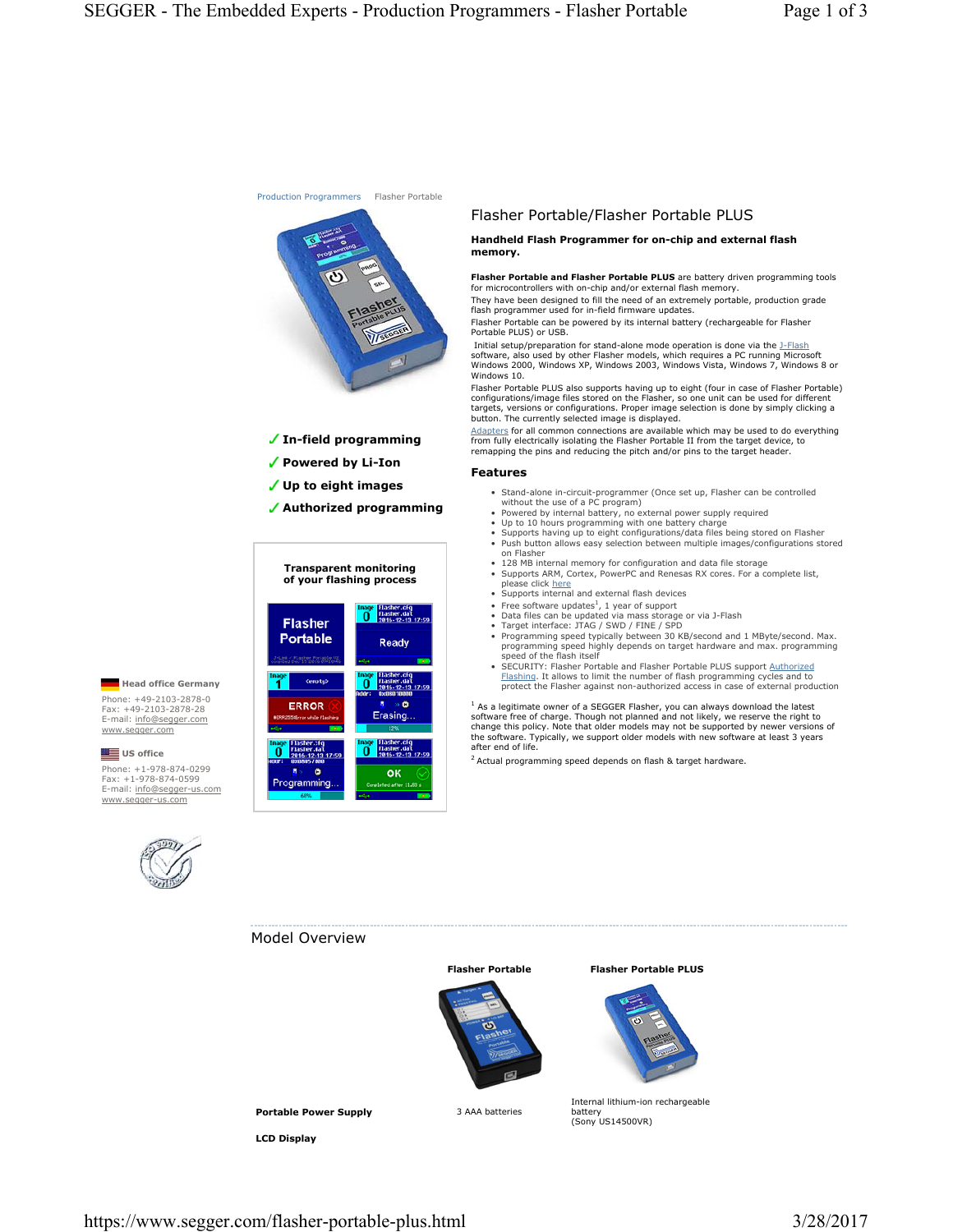

 **In-field programming**

- **Powered by Li-Ion**
- **Up to eight images**
- **Authorized programming**

### **Transparent monitoring of your flashing process**



# Flasher Portable/Flasher Portable PLUS

#### **Handheld Flash Programmer for on-chip and external flash memory.**

**Flasher Portable and Flasher Portable PLUS** are battery driven programming tools for microcontrollers with on-chip and/or external flash memory.

They have been designed to fill the need of an extremely portable, production grade flash programmer used for in-field firmware updates.

Flasher Portable can be powered by its internal battery (rechargeable for Flasher Portable PLUS) or USB. Initial setup/preparation for stand-alone mode operation is done via the J-Flash

software, also used by other Flasher models, which requires a PC running Microsoft Windows 2000, Windows XP, Windows 2003, Windows Vista, Windows 7, Windows 8 or Windows 10.

Flasher Portable PLUS also supports having up to eight (four in case of Flasher Portable) configurations/image files stored on the Flasher, so one unit can be used for different targets, versions or configurations. Proper image selection is done by simply clicking a button. The currently selected image is displayed.

Adapters for all common connections are available which may be used to do everything from fully electrically isolating the Flasher Portable II from the target device, to remapping the pins and reducing the pitch and/or pins to the target header.

#### **Features**

- Stand-alone in-circuit-programmer (Once set up, Flasher can be controlled without the use of a PC program) • Powered by internal battery, no external power supply required
- 
- Up to 10 hours programming with one battery charge Supports having up to eight configurations/data files being stored on Flasher
- Push button allows easy selection between multiple images/configurations stored on Flasher
- 128 MB internal memory for configuration and data file storage Supports ARM, Cortex, PowerPC and Renesas RX cores. For a complete list, please click here
- Supports internal and external flash devices
- 
- 
- 
- Free software updates<sup>1</sup>, 1 year of support<br>• Data files can be updated via mass storage or via J-Flash<br>• Target interface: JTAG / SWD / FINE / SPD<br>• Programming speed typically between 30 KB/second and 1 MByte/second. speed of the flash itself
- SECURITY: Flasher Portable and Flasher Portable PLUS support Authorized Flashing. It allows to limit the number of flash programming cycles and to protect the Flasher against non-authorized access in case of external production

 $<sup>1</sup>$  As a legitimate owner of a SEGGER Flasher, you can always download the latest</sup> software free of charge. Though not planned and not likely, we reserve the right to change this policy. Note that older models may not be supported by newer versions of the software. Typically, we support older models with new software at least 3 years after end of life.

2 Actual programming speed depends on flash & target hardware.

# **Head office Germany** Phone: +49-2103-2878-0

Fax: +49-2103-2878-28<br>E-mail: <u>info@segger.com</u> www.segger.com

## **US** office

Phone: +1-978-874-0299 Fax: +1-978-874-0599<br>E-mail: <u>info@segger-us.com</u> www.segger-us.com



## Model Overview



### **Flasher Portable Flasher Portable PLUS**



**Portable Power Supply** 3 AAA batteries

**LCD Display**

Internal lithium-ion rechargeable battery (Sony US14500VR)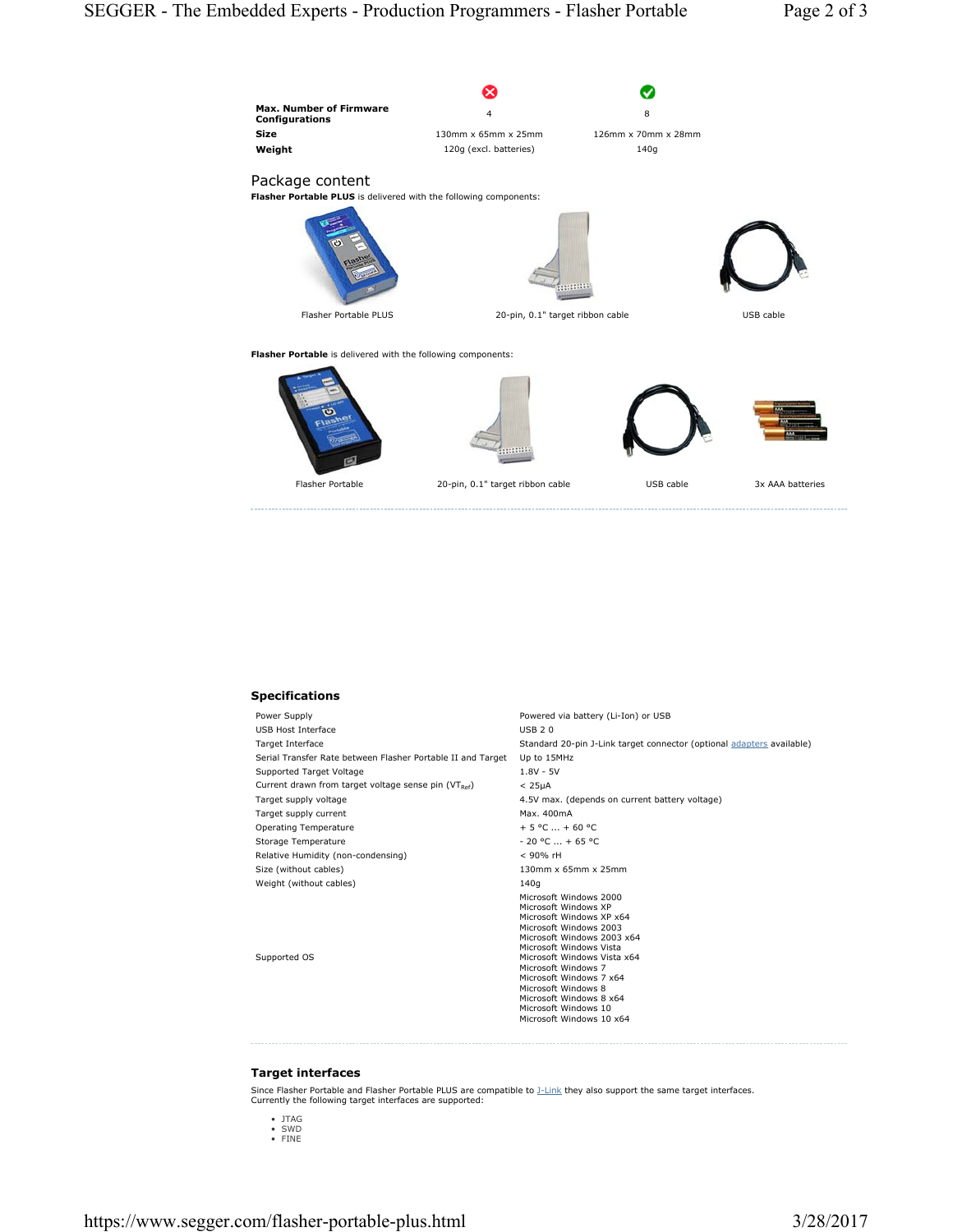

## **Specifications**

| Power Supply                                                | Powered via battery (Li-Ion) or USB                                                                                                                                                                                                                                                                                                                  |
|-------------------------------------------------------------|------------------------------------------------------------------------------------------------------------------------------------------------------------------------------------------------------------------------------------------------------------------------------------------------------------------------------------------------------|
| USB Host Interface                                          | <b>USB 20</b>                                                                                                                                                                                                                                                                                                                                        |
| Target Interface                                            | Standard 20-pin J-Link target connector (optional adapters available)                                                                                                                                                                                                                                                                                |
| Serial Transfer Rate between Flasher Portable II and Target | Up to 15MHz                                                                                                                                                                                                                                                                                                                                          |
| Supported Target Voltage                                    | $1.8V - 5V$                                                                                                                                                                                                                                                                                                                                          |
| Current drawn from target voltage sense pin (VTRef)         | < 25 <sub>µ</sub> A                                                                                                                                                                                                                                                                                                                                  |
| Target supply voltage                                       | 4.5V max. (depends on current battery voltage)                                                                                                                                                                                                                                                                                                       |
| Target supply current                                       | Max. 400mA                                                                                                                                                                                                                                                                                                                                           |
| Operating Temperature                                       | $+5$ °C $+60$ °C                                                                                                                                                                                                                                                                                                                                     |
| Storage Temperature                                         | $-20$ °C $ + 65$ °C                                                                                                                                                                                                                                                                                                                                  |
| Relative Humidity (non-condensing)                          | $<$ 90% rH                                                                                                                                                                                                                                                                                                                                           |
| Size (without cables)                                       | $130$ mm x 65mm x 25mm                                                                                                                                                                                                                                                                                                                               |
| Weight (without cables)                                     | 140g                                                                                                                                                                                                                                                                                                                                                 |
| Supported OS                                                | Microsoft Windows 2000<br>Microsoft Windows XP<br>Microsoft Windows XP x64<br>Microsoft Windows 2003<br>Microsoft Windows 2003 x64<br>Microsoft Windows Vista<br>Microsoft Windows Vista x64<br>Microsoft Windows 7<br>Microsoft Windows 7 x64<br>Microsoft Windows 8<br>Microsoft Windows 8 x64<br>Microsoft Windows 10<br>Microsoft Windows 10 x64 |

## **Target interfaces**

Since Flasher Portable and Flasher Portable PLUS are compatible to **J-Link** they also support the same target interfaces. Currently the following target interfaces are supported:

- JTAG SWD FINE
-